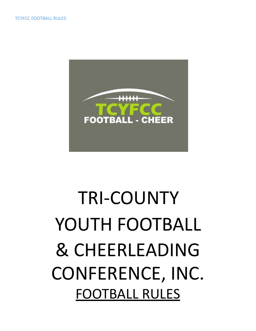

# TRI-COUNTY YOUTH FOOTBALL & CHEERLEADING CONFERENCE, INC. FOOTBALL RULES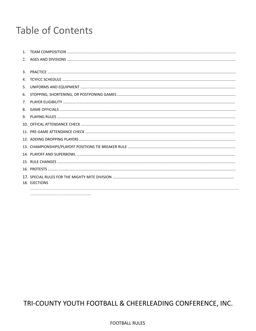# **Table of Contents**

| 2.             |               |
|----------------|---------------|
| $\mathbf{3}$ . |               |
| 4.             |               |
| 5.             |               |
| 6.             |               |
| 7.             |               |
| 8.             |               |
| 9.             |               |
|                |               |
|                |               |
|                |               |
|                |               |
|                |               |
|                |               |
|                |               |
|                | 18. EJECTIONS |
|                |               |
|                |               |

# TRI-COUNTY YOUTH FOOTBALL & CHEERLEADING CONFERENCE, INC.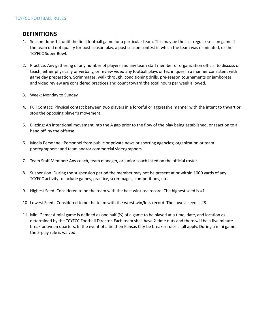#### **DEFINITIONS**

- 1. Season: June 1st until the final football game for a particular team. This may be the last regular season game if the team did not qualify for post season play, a post season contest in which the team was eliminated, or the TCYFCC Super Bowl.
- 2. Practice: Any gathering of any number of players and any team staff member or organization official to discuss or teach, either physically or verbally, or review video any football plays or techniques in a manner consistent with game day preparation. Scrimmages, walk through, conditioning drills, pre-season tournaments or jamborees, and video review are considered practices and count toward the total hours per week allowed.
- 3. Week: Monday to Sunday.
- 4. Full Contact: Physical contact between two players in a forceful or aggressive manner with the intent to thwart or stop the opposing player's movement.
- 5. Blitzing: An intentional movement into the A gap prior to the flow of the play being established, or reaction to a hand off, by the offense.
- 6. Media Personnel: Personnel from public or private news or sporting agencies; organization or team photographers; and team and/or commercial videographers.
- 7. Team Staff Member: Any coach, team manager, or junior coach listed on the official roster.
- 8. Suspension: During the suspension period the member may not be present at or within 1000 yards of any TCYFCC activity to include games, practice, scrimmages, competitions, etc.
- 9. Highest Seed. Considered to be the team with the best win/loss record. The highest seed is #1
- 10. Lowest Seed. Considered to be the team with the worst win/loss record. The lowest seed is #8.
- 11. Mini Game: A mini game is defined as one half (½) of a game to be played at a time, date, and location as determined by the TCYFCC Football Director. Each team shall have 2-time outs and there will be a five minute break between quarters. In the event of a tie then Kansas City tie breaker rules shall apply. During a mini game the 5-play rule is waived.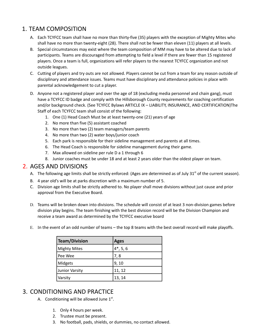# 1. TEAM COMPOSITION

- A. Each TCYFCC team shall have no more than thirty-five (35) players with the exception of Mighty Mites who shall have no more than twenty-eight (28). There shall not be fewer than eleven (11) players at all levels.
- B. Special circumstances may exist where the team composition of MM may have to be altered due to lack of participants. Teams are discouraged from attempting to field a level if there are fewer than 15 registered players. Once a team is full, organizations will refer players to the nearest TCYFCC organization and not outside leagues.
- C. Cutting of players and try outs are not allowed. Players cannot be cut from a team for any reason outside of disciplinary and attendance issues. Teams must have disciplinary and attendance policies in place with parental acknowledgement to cut a player.
- D. Anyone not a registered player and over the age of 18 (excluding media personnel and chain gang), must have a TCYFCC ID badge and comply with the Hillsborough County requirements for coaching certification and/or background check. (See TCYFCC Bylaws ARTICLE IX – LIABILITY, INSURANCE, AND CERTIFICATION)The Staff of each TCYFCC team shall consist of the following:
	- 1. One (1) Head Coach Must be at least twenty-one (21) years of age
	- 2. No more than five (5) assistant coached
	- 3. No more than two (2) team managers/team parents
	- 4. No more than two (2) water boys/junior coach
	- 5. Each park is responsible for their sideline management and parents at all times.
	- 6. The Head Coach is responsible for sideline management during their game.
	- 7. Max allowed on sideline per rule D a 1 through 6
	- 8. Junior coaches must be under 18 and at least 2 years older than the oldest player on team.

#### 2. AGES AND DIVISIONS

- A. The following age limits shall be strictly enforced: (Ages are determined as of July 31<sup>st</sup> of the current season).
- B. 4 year old's will be at parks discretion with a maximum number of 5.
- C. Division age limits shall be strictly adhered to. No player shall move divisions without just cause and prior approval from the Executive Board.
- D. Teams will be broken down into divisions. The schedule will consist of at least 3 non-division games before division play begins. The team finishing with the best division record will be the Division Champion and receive a team award as determined by the TCYFCC executive board
- E. In the event of an odd number of teams the top 8 teams with the best overall record will make playoffs.

| Team/Division  | <b>Ages</b>   |
|----------------|---------------|
| Mighty Mites   | $14^*$ , 5, 6 |
| l Pee Wee      | 7,8           |
| Midgets        | 9, 10         |
| Junior Varsity | 11, 12        |
| Varsity        | 13, 14        |

### 3. CONDITIONING AND PRACTICE

- A. Conditioning will be allowed June  $1<sup>st</sup>$ .
	- 1. Only 4 hours per week.
	- 2. Trustee must be present.
	- 3. No football, pads, shields, or dummies, no contact allowed.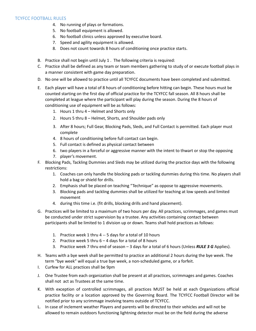- 4. No running of plays or formations.
- 5. No football equipment is allowed.
- 6. No football clinics unless approved by executive board.
- 7. Speed and agility equipment is allowed.
- 8. Does not count towards 8 hours of conditioning once practice starts.
- B. Practice shall not begin until July 1 . The following criteria is required:
- C. Practice shall be defined as any team or team members gathering to study of or execute football plays in a manner consistent with game day preparation.
- D. No one will be allowed to practice until all TCYFCC documents have been completed and submitted.
- E. Each player will have a total of 8 hours of conditioning before hitting can begin. These hours must be counted starting on the first day of official practice for the TCYFCC fall season. All 8 hours shall be completed at league where the participant will play during the season. During the 8 hours of conditioning use of equipment will be as follows:
	- 1. Hours 1 thru 4 Helmet and Shorts only
	- 2. Hours 5 thru 8 Helmet, Shorts, and Shoulder pads only
	- 3. After 8 hours; Full Gear, Blocking Pads, Sleds, and Full Contact is permitted. Each player must complete
	- 4. 8 hours of conditioning before full contact can begin.
	- 5. Full contact is defined as physical contact between
	- 6. two players in a forceful or aggressive manner with the intent to thwart or stop the opposing
	- 7. player's movement.
- F. Blocking Pads, Tackling Dummies and Sleds may be utilized during the practice days with the following restrictions:
	- 1. Coaches can only handle the blocking pads or tackling dummies during this time. No players shall hold a bag or shield for drills.
	- 2. Emphasis shall be placed on teaching "Technique" as oppose to aggressive movements.
	- 3. Blocking pads and tackling dummies shall be utilized for teaching at low speeds and limited movement
	- 4. during this time i.e. (fit drills, blocking drills and hand placement).
- G. Practices will be limited to a maximum of two hours per day. All practices, scrimmages, and games must be conducted under strict supervision by a trustee. Any activities containing contact between participants shall be limited to 1 division up or down. Teams shall hold practices as follows:
	- 1. Practice week 1 thru 4 -- 5 days for a total of 10 hours
	- 2. Practice week 5 thru  $6 4$  days for a total of 8 hours
	- 3. Practice week 7 thru end of season 3 days for a total of 6 hours (Unless *RULE 3 G* Applies).
- H. Teams with a bye week shall be permitted to practice an additional 2 hours during the bye week. The term "bye week" will equal a true bye week, a non-scheduled game, or a forfeit.
- I. Curfew for ALL practices shall be 9pm
- J. One Trustee from each organization shall be present at all practices, scrimmages and games. Coaches shall not act as Trustees at the same time.
- K. With exception of controlled scrimmages, all practices MUST be held at each Organizations official practice facility or a location approved by the Governing Board. The TCYFCC Football Director will be notified prior to any scrimmage involving teams outside of TCYFCC.
- L. In case of inclement weather Players and parents will be directed to their vehicles and will not be allowed to remain outdoors functioning lightning detector must be on the field during the adverse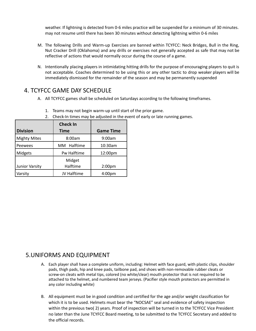weather. If lightning is detected from 0-6 miles practice will be suspended for a minimum of 30 minutes. may not resume until there has been 30 minutes without detecting lightning within 0-6 miles

- M. The following Drills and Warm-up Exercises are banned within TCYFCC: Neck Bridges, Bull in the Ring, Nut Cracker Drill (Oklahoma) and any drills or exercises not generally accepted as safe that may not be reflective of actions that would normally occur during the course of a game.
- N. Intentionally placing players in intimidating hitting drills for the purpose of encouraging players to quit is not acceptable. Coaches determined to be using this or any other tactic to drop weaker players will be immediately dismissed for the remainder of the season and may be permanently suspended

#### 4. TCYFCC GAME DAY SCHEDULE

A. All TCYFCC games shall be scheduled on Saturdays according to the following timeframes.

|                     | <b>Check In</b> |                    |
|---------------------|-----------------|--------------------|
| <b>Division</b>     | Time            | <b>Game Time</b>   |
| <b>Mighty Mites</b> | 8:00am          | 9:00am             |
| Peewees             | MM Halftime     | 10:30am            |
| Midgets             | Pw Halftime     | 12:00pm            |
|                     | Midget          |                    |
| Junior Varsity      | Halftime        | 2:00 <sub>pm</sub> |
| Varsity             | JV Halftime     | 4:00 <sub>pm</sub> |

- 1. Teams may not begin warm-up until start of the prior game.
- 2. Check-In times may be adjusted in the event of early or late running games.

### 5.UNIFORMS AND EQUIPMENT

- A. Each player shall have a complete uniform, including: Helmet with face guard, with plastic clips, shoulder pads, thigh pads, hip and knee pads, tailbone pad, and shoes with non-removable rubber cleats or screw-on cleats with metal tips, colored (no white/clear) mouth protector that is not required to be attached to the helmet, and numbered team jerseys. (Pacifier style mouth protectors are permitted in any color including white)
- B. All equipment must be in good condition and certified for the age and/or weight classification for which it is to be used. Helmets must bear the "NOCSAE" seal and evidence of safety inspection within the previous two( 2) years. Proof of inspection will be turned in to the TCYFCC Vice President no later than the June TCYFCC Board meeting, to be submitted to the TCYFCC Secretary and added to the official records.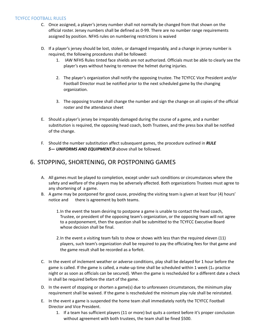- C. Once assigned, a player's jersey number shall not normally be changed from that shown on the official roster. Jersey numbers shall be defined as 0-99. There are no number range requirements assigned by position. NFHS rules on numbering restrictions is waived
- D. If a player's jersey should be lost, stolen, or damaged irreparably, and a change in jersey number is required, the following procedures shall be followed:
	- 1. IAW NFHS Rules tinted face shields are not authorized. Officials must be able to clearly see the player's eyes without having to remove the helmet during injuries.
	- 2. The player's organization shall notify the opposing trustee. The TCYFCC Vice President and/or Football Director must be notified prior to the next scheduled game by the changing organization.
	- 3. The opposing trustee shall change the number and sign the change on all copies of the official roster and the attendance sheet
- E. Should a player's jersey be irreparably damaged during the course of a game, and a number substitution is required, the opposing head coach, both Trustees, and the press box shall be notified of the change.
- F. Should the number substitution affect subsequent games, the procedure outlined in *RULE 5— UNIFORMS AND EQUIPMENT.D* above shall be followed.

#### 6. STOPPING, SHORTENING, OR POSTPONING GAMES

- A. All games must be played to completion, except under such conditions or circumstances where the safety and welfare of the players may be adversely affected. Both organizations Trustees must agree to any shortening of a game.
- B. A game may be postponed for good cause, providing the visiting team is given at least four (4) hours' notice and there is agreement by both teams.
	- 1.In the event the team desiring to postpone a game is unable to contact the head coach, Trustee, or president of the opposing team's organization, or the opposing team will not agree to a postponement, then the question shall be submitted to the TCYFCC Executive Board whose decision shall be final.
	- 2.In the event a visiting team fails to show or shows with less than the required eleven (11) players, such team's organization shall be required to pay the officiating fees for that game and the game result shall be recorded as a forfeit.
- C. In the event of inclement weather or adverse conditions, play shall be delayed for 1 hour before the game is called. If the game is called, a make-up time shall be scheduled within 1 week  $(1_{st}$  practice night or as soon as officials can be secured). When the game is rescheduled for a different date a check in shall be required before the start of the game.
- D. In the event of stopping or shorten a game(s) due to unforeseen circumstances, the minimum play requirement shall be waived. If the game is rescheduled the minimum play rule shall be reinstated.
- E. In the event a game is suspended the home team shall immediately notify the TCYFCC Football Director and Vice President.
	- 1. If a team has sufficient players (11 or more) but quits a contest before it's proper conclusion without agreement with both trustees, the team shall be fined \$500.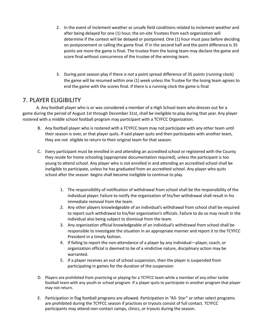- 2. In the event of inclement weather or unsafe field conditions related to inclement weather and after being delayed for one (1) hour, the on-site Trustees from each organization will determine if the contest will be delayed or postponed. One (1) hour must pass before deciding on postponement or calling the game final. If in the second half and the point difference is 35 points are more the game is final. The trustee from the losing team may declare the game and score final without concurrence of the trustee of the winning team.
- 3. During post season play if there *is not* a point spread difference of 35 points (running clock) the game will be resumed within one (1) week unless the Trustee for the losing team agrees to end the game with the scores final. If there is a running clock the game is final

#### 7. PLAYER ELIGIBILITY

A. Any football player who is or was considered a member of a High School team who dresses out for a game during the period of August 1st through December 31st, shall be ineligible to play during that year. Any player rostered with a middle school football program may participant with a TCYFCC Organization.

- B. Any football player who is rostered with a TCYFCC team may not participate with any other team until their season is over, or that player quits. If said player quits and then participates with another team, they are not eligible to return to their original team for that season.
- C. Every participant must be enrolled in and attending an accredited school or registered with the County they reside for home schooling (appropriate documentation required), unless the participant is too young to attend school. Any player who is not enrolled in and attending an accredited school shall be ineligible to participate, unless he has graduated from an accredited school. Any player who quits school after the season begins shall become ineligible to continue to play.
	- 1. The responsibility of notification of withdrawal from school shall be the responsibility of the individual player. Failure to notify the organization of his/her withdrawal shall result in his immediate removal from the team.
	- 2. Any other players knowledgeable of an individual's withdrawal from school shall be required to report such withdrawal to his/her organization's officials. Failure to do so may result in the individual also being subject to dismissal from the team.
	- 3. Any organization official knowledgeable of an individual's withdrawal from school shall be responsible to investigate the situation in an appropriate manner and report it to the TCYFCC President in a timely fashion.
	- 4. If failing to report the non-attendance of a player by any individual—player, coach, or organization official is deemed to be of a vindictive nature, disciplinary action may be warranted.
	- 5. If a player receives an out of school suspension, then the player is suspended from participating in games for the duration of the suspension
- D. Players are prohibited from practicing or playing for a TCYFCC team while a member of any other tackle football team with any youth or school program. If a player quits to participate in another program that player may not return.
- E. Participation in flag football programs are allowed. Participation in "All- Star" or other select programs are prohibited during the TCYFCC season if practices or tryouts consist of full contact. TCYFCC participants may attend non-contact camps, clinics, or tryouts during the season.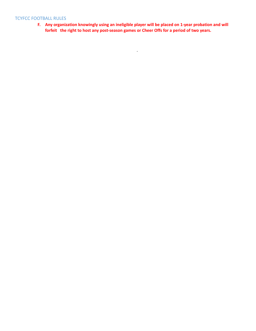**F. Any organization knowingly using an ineligible player will be placed on 1-year probation and will forfeit the right to host any post-season games or Cheer Offs for a period of two years.**

 $\mathcal{L}^{\mathcal{L}}$  . The set of  $\mathcal{L}^{\mathcal{L}}$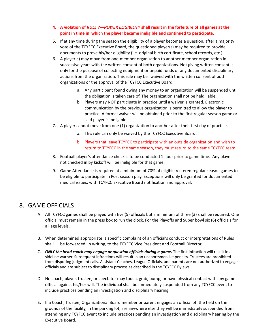#### **4. A violation of** *RULE 7—PLAYER ELIGIBILITY* **shall result in the forfeiture of all games at the point in time in which the player became ineligible and continued to participate.**

- 5. If at any time during the season the eligibility of a player becomes a question, after a majority vote of the TCYFCC Executive Board, the questioned player(s) may be required to provide documents to prove his/her eligibility (i.e. original birth certificate, school records, etc.)
- 6. A player(s) may move from one-member organization to another member organization in successive years with the written consent of both organizations. Not giving written consent is only for the purpose of collecting equipment or unpaid funds or any documented disciplinary actions from the organization. This rule may be waived with the written consent of both organizations or the approval of the TCYFCC Executive Board.
	- a. Any participant found owing any money to an organization will be suspended until the obligation is taken care of. The organization shall not be held liable.
	- b. Players may NOT participate in practice until a waiver is granted. Electronic communication by the previous organization is permitted to allow the player to practice. A formal waiver will be obtained prior to the first regular season game or said player is ineligible
- 7. A player cannot move from one (1) organization to another after their first day of practice.
	- a. This rule can only be waived by the TCYFCC Executive Board.
	- b. Players that leave TCYFCC to participate with an outside organization and wish to return to TCYFCC in the same season, they must return to the same TCYFCC team.
- 8. Football player's attendance check is to be conducted 1 hour prior to game time. Any player not checked in by kickoff will be ineligible for that game.
- 9. Game Attendance is required at a minimum of 70% of eligible rostered regular season games to be eligible to participate in Post season play. Exceptions will only be granted for documented medical issues, with TCYFCC Executive Board notification and approval.

#### 8. GAME OFFICIALS

- A. All TCYFCC games shall be played with five (5) officials but a minimum of three (3) shall be required. One official must remain in the press box to run the clock. For the Playoffs and Super bowl six (6) officials for all age levels.
- B. When determined appropriate, a specific complaint of an official's conduct or interpretations of Rules shall be forwarded, in writing, to the TCYFCC Vice President and Football Director.
- C. *ONLY the head coach may engage or question officials during a game.* The first infraction will result in a sideline warner. Subsequent infractions will result in an unsportsmanlike penalty. Trustees are prohibited from disputing judgment calls. Assistant Coaches, League Officials, and parents are not authorized to engage officials and are subject to disciplinary process as described in the TCYFCC Bylaws
- D. No coach, player, trustee, or spectator may touch, grab, bump, or have physical contact with any game official against his/her will. The individual shall be immediately suspended from any TCYFCC event to include practices pending an investigation and disciplinary hearing
- E. If a Coach, Trustee, Organizational Board member or parent engages an official off the field on the grounds of the facility, in the parking lot, are anywhere else they will be immediately suspended from attending any TCYFCC event to include practices pending an investigation and disciplinary hearing by the Executive Board.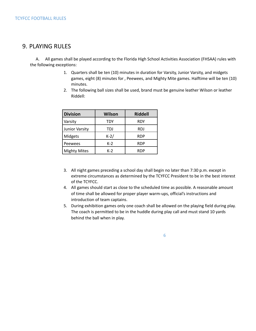#### 9. PLAYING RULES

A. All games shall be played according to the Florida High School Activities Association (FHSAA) rules with the following exceptions:

- 1. Quarters shall be ten (10) minutes in duration for Varsity, Junior Varsity, and midgets games, eight (8) minutes for , Peewees, and Mighty Mite games. Halftime will be ten (10) minutes.
- 2. The following ball sizes shall be used, brand must be genuine leather Wilson or leather Riddell:

| <b>Division</b>       | <b>Wilson</b> | <b>Riddell</b> |
|-----------------------|---------------|----------------|
| Varsity               | TDY           | RDY            |
| <b>Junior Varsity</b> | TDJ           | <b>RDJ</b>     |
| Midgets               | $K-2/$        | <b>RDP</b>     |
| Peewees               | $K-2$         | <b>RDP</b>     |
| <b>Mighty Mites</b>   | $K-2$         | RDP            |

- 3. All night games preceding a school day shall begin no later than 7:30 p.m. except in extreme circumstances as determined by the TCYFCC President to be in the best interest of the TCYFCC.
- 4. All games should start as close to the scheduled time as possible. A reasonable amount of time shall be allowed for proper player warm-ups, official's instructions and introduction of team captains.
- 5. During exhibition games only one coach shall be allowed on the playing field during play. The coach is permitted to be in the huddle during play call and must stand 10 yards behind the ball when in play.

6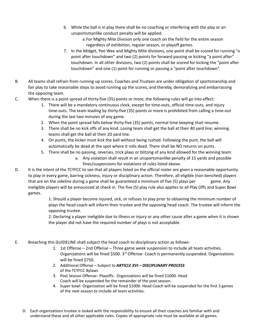- 6. While the ball is in play there shall be no coaching or interfering with the play or an unsportsmanlike conduct penalty will be applied.
	- a.For Mighty Mite Division only one coach on the field for the entire season regardless of exhibition, regular season, or playoff games.
- 7. In the Midget, Pee Wee and Mighty Mite divisions, one point shall be scored for running "a point after touchdown" and two (2) points for forward passing or kicking "a point after" touchdown. In all other divisions, two (2) points shall be scored for kicking the "point after touchdown" and one (1) point for running or passing a "point after touchdown".
- B. All teams shall refrain from running up scores. Coaches and Trustees are under obligation of sportsmanship and fair play to take reasonable steps to avoid running up the scores, and thereby, demoralizing and embarrassing the opposing team.
- C. When there is a point spread of thirty-five (35) points or more, the following rules will go into effect:
	- 1. There will be a mandatory continuous clock, except for time-outs, official time-outs, and injury time-outs. The team leading by thirty-five (35) points or more is prohibited from calling a time-out during the last two minutes of any game.
	- 2. When the point spread falls below thirty-five (35) points, normal time keeping shall resume.
	- 3. There shall be no kick offs of any kind. Losing team shall get the ball at their 40 yard line; winning teams shall get the ball at their 20 yard line.
	- 4. On punts, the kicker must kick the ball without being rushed. Following the punt, the ball will automatically be dead at the spot where it rolls dead. There shall be NO returns on punts.
	- 5. There shall be no passing, reverses, trick plays or blitzing of any kind allowed for the winning team.
		- a. Any violation shall result in an unsportsmanlike penalty of 15 yards and possible fines/suspensions for violations of rules listed above.
- D. It is the intent of the TCYFCC to see that all players listed on the official roster are given a reasonable opportunity to play in every game, barring sickness, injury or disciplinary action. Therefore, all eligible (non benched) players that are on the sideline during a game shall be guaranteed a minimum of five (5) plays per game. Any ineligible players will be announced at check in. The five (5) play rule also applies to all Play Offs and Super Bowl games.

1. Should a player become injured, sick, or refuses to play prior to obtaining the minimum number of plays the head coach will inform their trustee and the opposing head coach. The trustee will inform the opposing trustee.

2. Declaring a player ineligible due to illness or injury or any other cause after a game when it is shown the player did not have the required number of plays is not acceptable

- E. Breaching this GUIDELINE shall subject the head coach to disciplinary action as follows:
	- 1. 1st Offense 2nd Offense Three game week suspension to include all team activities. Organizations will be fined \$500. 3<sup>rd</sup> Offense- Coach is permanently suspended. Organizations will be fined \$750.
	- 2. Additional Offense Subject to *ARTICLE XVI – DISCIPLINARY PROCESS* of the TCYFCC Bylaws
	- 3. Post Season Offense– Playoffs- Organizations will be fined \$1000. Head Coach will be suspended for the remainder of the post season.
	- 4. Super bowl- Organization will be fined \$1000. Head Coach will be suspended for the first 3 games of the next season to include all team activities.
	- D. Each organizations trustee is tasked with the responsibility to ensure all their coaches are familiar with and understand these and all other applicable rules. Copies of appropriate rule must be available at all games.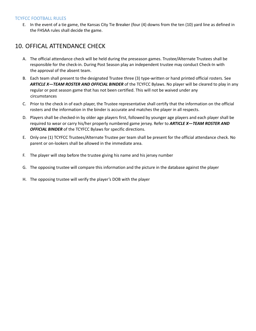E. In the event of a tie game, the Kansas City Tie Breaker (four (4) downs from the ten (10) yard line as defined in the FHSAA rules shall decide the game.

# 10. OFFICAL ATTENDANCE CHECK

- A. The official attendance check will be held during the preseason games. Trustee/Alternate Trustees shall be responsible for the check-in. During Post Season play an independent trustee may conduct Check-In with the approval of the absent team.
- B. Each team shall present to the designated Trustee three (3) type-written or hand printed official rosters. See *ARTICLE X—TEAM ROSTER AND OFFICIAL BINDER* of the TCYFCC Bylaws. No player will be cleared to play in any regular or post season game that has not been certified. This will not be waived under any circumstances
- C. Prior to the check in of each player, the Trustee representative shall certify that the information on the official rosters and the information in the binder is accurate and matches the player in all respects.
- D. Players shall be checked-in by older age players first, followed by younger age players and each player shall be required to wear or carry his/her properly numbered game jersey. Refer to *ARTICLE X—TEAM ROSTER AND OFFICIAL BINDER* of the TCYFCC Bylaws for specific directions.
- E. Only one (1) TCYFCC Trustees/Alternate Trustee per team shall be present for the official attendance check. No parent or on-lookers shall be allowed in the immediate area.
- F. The player will step before the trustee giving his name and his jersey number
- G. The opposing trustee will compare this information and the picture in the database against the player
- H. The opposing trustee will verify the player's DOB with the player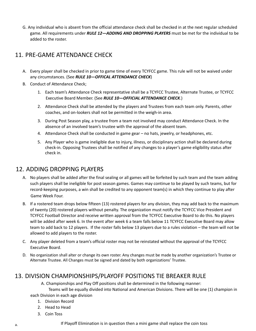G. Any individual who is absent from the official attendance check shall be checked in at the next regular scheduled game. All requirements under *RULE 12—ADDING AND DROPPING PLAYERS* must be met for the individual to be added to the roster.

# 11. PRE-GAME ATTENDANCE CHECK

- A. Every player shall be checked in prior to game time of every TCYFCC game. This rule will not be waived under any circumstances. (See *RULE 10—OFFICAL ATTENDANCE CHECK*)
- B. Conduct of Attendance Check;
	- 1. Each team's Attendance Check representative shall be a TCYFCC Trustee, Alternate Trustee, or TCYFCC Executive Board Member. (See *RULE 10—OFFICIAL ATTENDANCE CHECK*.)
	- 2. Attendance Check shall be attended by the players and Trustees from each team only. Parents, other coaches, and on-lookers shall not be permitted in the weigh-in area.
	- 3. During Post Season play, a trustee from a team not involved may conduct Attendance Check. In the absence of an involved team's trustee with the approval of the absent team.
	- 4. Attendance Check shall be conducted in game gear no hats, jewelry, or headphones, etc.
	- 5. Any Player who is game ineligible due to injury, illness, or disciplinary action shall be declared during check-in. Opposing Trustees shall be notified of any changes to a player's game eligibility status after check in.

### 12. ADDING DROPPING PLAYERS

- A. No players shall be added after the final sealing or all games will be forfeited by such team and the team adding such players shall be ineligible for post season games. Games may continue to be played by such teams, but for record-keeping purposes, a win shall be credited to any opponent team(s) in which they continue to play after Game Week Four.
- B. If a rostered team drops below fifteen (13) rostered players for any division, they may add back to the maximum of twenty (20) rostered players without penalty. The organization must notify the TCYFCC Vice President and TCYFCC Football Director and receive written approval from the TCYFCC Executive Board to do this. No players will be added after week 6. In the event after week 6 a team falls below 11 TCYFCC Executive Board may allow team to add back to 12 players. If the roster falls below 13 players due to a rules violation – the team will not be allowed to add players to the roster.
- C. Any player deleted from a team's official roster may not be reinstated without the approval of the TCYFCC Executive Board.
- D. No organization shall alter or change its own roster. Any changes must be made by another organization's Trustee or Alternate Trustee. All Changes must be signed and dated by both organizations' Trustee.

### 13. DIVISION CHAMPIONSHIPS/PLAYOFF POSITIONS TIE BREAKER RULE

A. Championships and Play Off positions shall be determined in the following manner:

Teams will be equally divided into National and American Divisions. There will be one (1) champion in

each Division in each age division

- 1. Division Record
- 2. Head to Head
- 3. Coin Toss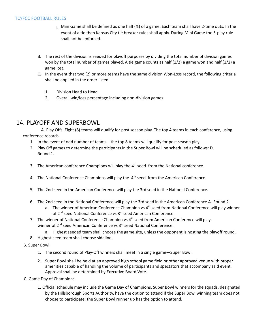- $_{\rm b}$ . Mini Game shall be defined as one half ( $\frac{1}{2}$ ) of a game. Each team shall have 2-time outs. In the event of a tie then Kansas City tie breaker rules shall apply. During Mini Game the 5-play rule shall not be enforced.
- B. The rest of the division is seeded for playoff purposes by dividing the total number of division games won by the total number of games played. A tie game counts as half (1/2) a game won and half (1/2) a game lost.
- C. In the event that two (2) or more teams have the same division Won-Loss record, the following criteria shall be applied in the order listed
	- 1. Division Head to Head
	- 2. Overall win/loss percentage including non-division games

#### 14. PLAYOFF AND SUPERBOWL

A. Play Offs: Eight (8) teams will qualify for post season play. The top 4 teams in each conference, using conference records.

- 1. In the event of odd number of teams the top 8 teams will qualify for post season play.
- 2. Play Off games to determine the participants in the Super Bowl will be scheduled as follows: D. Round 1.
- 3. The American conference Champions will play the  $4<sup>th</sup>$  seed from the National conference.
- 4. The National Conference Champions will play the  $4<sup>th</sup>$  seed from the American Conference.
- 5. The 2nd seed in the American Conference will play the 3rd seed in the National Conference.
- 6. The 2nd seed in the National Conference will play the 3rd seed in the American Conference A. Round 2.
	- a. The winner of American Conference Champion vs 4<sup>th</sup> seed from National Conference will play winner of 2<sup>nd</sup> seed National Conference vs 3<sup>rd</sup> seed American Conference.
- 7. The winner of National Conference Champion vs 4<sup>th</sup> seed from American Conference will play winner of 2<sup>nd</sup> seed American Conference vs 3<sup>rd</sup> seed National Conference.
	- a. Highest seeded team shall choose the game site, unless the opponent is hosting the playoff round.
- 8. Highest seed team shall choose sideline.
- B. Super Bowl:
	- 1. The second round of Play-Off winners shall meet in a single game—Super Bowl.
	- 2. Super Bowl shall be held at an approved high school game field or other approved venue with proper amenities capable of handling the volume of participants and spectators that accompany said event. Approval shall be determined by Executive Board Vote.
- C. Game Day of Champions
	- 1. Official schedule may include the Game Day of Champions. Super Bowl winners for the squads, designated by the Hillsborough Sports Authority, have the option to attend if the Super Bowl winning team does not choose to participate; the Super Bowl runner up has the option to attend.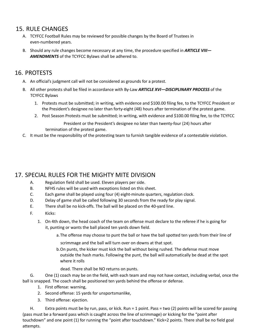#### 15. RULE CHANGES

- A. TCYFCC Football Rules may be reviewed for possible changes by the Board of Trustees in even-numbered years.
- B. Should any rule changes become necessary at any time, the procedure specified in *ARTICLE VIII— AMENDMENTS* of the TCYFCC Bylaws shall be adhered to.

#### 16. PROTESTS

- A. An official's judgment call will not be considered as grounds for a protest.
- B. All other protests shall be filed in accordance with By-Law *ARTICLE XVI—DISCIPLINARY PROCESS* of the TCYFCC Bylaws
	- 1. Protests must be submitted; in writing, with evidence and \$100.00 filing fee, to the TCYFCC President or the President's designee no later than forty-eight (48) hours after termination of the protest game.
	- 2. Post Season Protests must be submitted; in writing, with evidence and \$100.00 filing fee, to the TCYFCC

President or the President's designee no later than twenty-four (24) hours after termination of the protest game.

C. It must be the responsibility of the protesting team to furnish tangible evidence of a contestable violation.

### 17. SPECIAL RULES FOR THE MIGHTY MITE DIVISION

- A. Regulation field shall be used. Eleven players per side.
- B. NFHS rules will be used with exceptions listed on this sheet.
- C. Each game shall be played using four (4) eight-minute quarters, regulation clock.
- D. Delay of game shall be called following 30 seconds from the ready for play signal.
- E. There shall be no kick-offs. The ball will be placed on the 40-yard line.
- F. Kicks:
	- 1. On 4th down, the head coach of the team on offense must declare to the referee if he is going for it, punting or wants the ball placed ten yards down field.
		- a.The offense may choose to punt the ball or have the ball spotted ten yards from their line of

scrimmage and the ball will turn over on downs at that spot.

- b.On punts, the kicker must kick the ball without being rushed. The defense must move outside the hash marks. Following the punt, the ball will automatically be dead at the spot where it rolls
	- dead. There shall be NO returns on punts.

G. One (1) coach may be on the field, with each team and may not have contact, including verbal, once the ball is snapped. The coach shall be positioned ten yards behind the offense or defense.

- 1. First offense: warning,
- 2. Second offense: 15 yards for unsportsmanlike,
- 3. Third offense: ejection.

H. Extra points must be by run, pass, or kick. Run = 1 point. Pass = two (2) points will be scored for passing (pass must be a forward pass which is caught across the line of scrimmage) or kicking for the "point after touchdown" and one point (1) for running the "point after touchdown." Kick=2 points. There shall be no field goal attempts.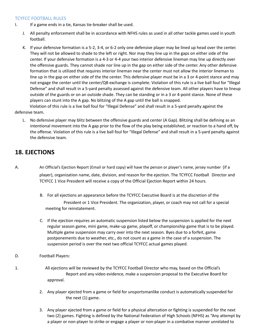- I. If a game ends in a tie, Kansas tie-breaker shall be used.
	- J. All penalty enforcement shall be in accordance with NFHS rules as used in all other tackle games used in youth football.
	- K. If your defensive formation is a 5-2, 3-4, or 6-2 only one defensive player may be lined up head over the center. They will not be allowed to shade to the left or right. Nor may they line up in the gaps on either side of the center. If your defensive formation is a 4-3 or 4-4 your two interior defensive lineman may line up directly over the offensive guards. They cannot shade nor line up in the gap on either side of the center. Any other defensive formation that is utilized that requires interior lineman near the center must not allow the interior lineman to line up in the gap on either side of the the center. This defensive player must be in a 3 or 4-point stance and may not engage the center until the center/QB exchange is complete. Violation of this rule is a live ball foul for "Illegal Defense" and shall result in a 5-yard penalty assessed against the defensive team. All other players have to lineup outside of the guards or on an outside shade. They can be standing or in a 3 or 4-point stance. None of these players can stunt into the A gap. No blitzing of the A gap until the ball is snapped.

Violation of this rule is a live ball foul for "Illegal Defense" and shall result in a 5-yard penalty against the defensive team.

L. No defensive player may blitz between the offensive guards and center (A Gap). Blitzing shall be defining as an intentional movement into the A gap prior to the flow of the play being established, or reaction to a hand off, by the offense. Violation of this rule is a live ball foul for "Illegal Defense" and shall result in a 5-yard penalty against the defensive team.

# **18. EJECTIONS**

- A. An Official's Ejection Report (Email or hard copy) will have the person or player's name, jersey number (if a player), organization name, date, division, and reason for the ejection. The TCYFCC Football Director and TCYFCC 1 Vice President will receive a copy of the Official Ejection Report within 24 hours.
	- B. For all ejections an appearance before the TCYFCC Executive Board is at the discretion of the President or 1 Vice President. The organization, player, or coach may not call for a special meeting for reinstatement.
	- C. If the ejection requires an automatic suspension listed below the suspension is applied for the next regular season game, mini game, make-up game, playoff, or championship game that is to be played. Multiple game suspension may carry over into the next season. Byes due to a forfeit, game postponements due to weather, etc., do not count as a game in the case of a suspension. The suspension period is over the next two official TCYFCC actual games played.
- D. Football Players:
- 1. All ejections will be reviewed by the TCYFCC Football Director who may, based on the Official's Report and any video evidence, make a suspension proposal to the Executive Board for approval.
	- 2. Any player ejected from a game or field for unsportsmanlike conduct is automatically suspended for the next (1) game.
	- 3. Any player ejected from a game or field for a physical altercation or fighting is suspended for the next two (2) games. Fighting is defined by the National Federation of High Schools (NFHS) as "Any attempt by a player or non-player to strike or engage a player or non-player in a combative manner unrelated to